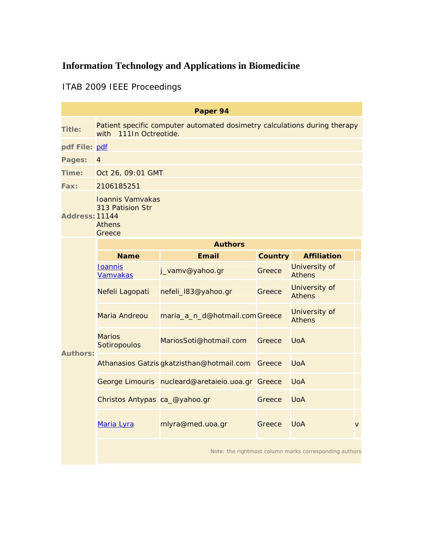# **Information Technology and Applications in Biomedicine**

## ITAB 2009 IEEE Proceedings

| Paper 94        |                                                                                                        |                                                  |         |                                |                |
|-----------------|--------------------------------------------------------------------------------------------------------|--------------------------------------------------|---------|--------------------------------|----------------|
| <b>Title:</b>   | Patient specific computer automated dosimetry calculations during therapy<br>111In Octreotide.<br>with |                                                  |         |                                |                |
| pdf File: pdf   |                                                                                                        |                                                  |         |                                |                |
| Pages:          | $\overline{4}$                                                                                         |                                                  |         |                                |                |
| Time:           | Oct 26, 09:01 GMT                                                                                      |                                                  |         |                                |                |
| Fax:            | 2106185251                                                                                             |                                                  |         |                                |                |
| Address: 11144  | Ioannis Vamvakas<br>313 Patision Str<br><b>Athens</b><br>Greece                                        |                                                  |         |                                |                |
| <b>Authors:</b> | <b>Authors</b>                                                                                         |                                                  |         |                                |                |
|                 | <b>Name</b>                                                                                            | <b>Email</b>                                     | Country | <b>Affiliation</b>             |                |
|                 | <b>Ioannis</b><br><b>Vamvakas</b>                                                                      | j_vamv@yahoo.gr                                  | Greece  | University of<br><b>Athens</b> |                |
|                 | Nefeli Lagopati                                                                                        | nefeli_l83@yahoo.gr                              | Greece  | University of<br><b>Athens</b> |                |
|                 | Maria Andreou                                                                                          | maria_a_n_d@hotmail.comGreece                    |         | University of<br><b>Athens</b> |                |
|                 | <b>Marios</b><br>Sotiropoulos                                                                          | MariosSoti@hotmail.com                           | Greece  | <b>UoA</b>                     |                |
|                 |                                                                                                        | Athanasios Gatzis gkatzisthan@hotmail.com        | Greece  | <b>UoA</b>                     |                |
|                 |                                                                                                        | George Limouris nucleard@aretaieio.uoa.gr Greece |         | <b>UoA</b>                     |                |
|                 | Christos Antypas ca_@yahoo.gr                                                                          |                                                  | Greece  | <b>UoA</b>                     |                |
|                 | Maria Lyra                                                                                             | mlyra@med.uoa.gr                                 | Greece  | <b>UoA</b>                     | $\overline{V}$ |
|                 | Note: the rightmost column marks corresponding authors                                                 |                                                  |         |                                |                |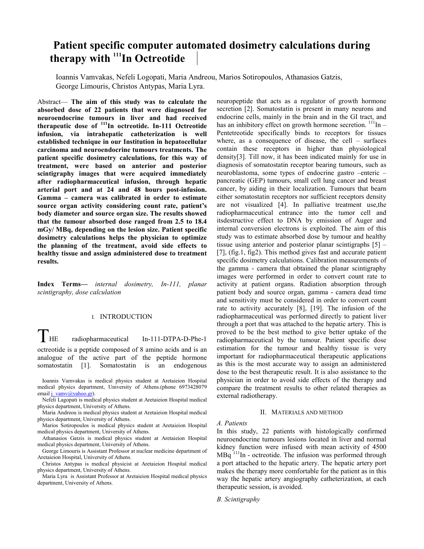### **Patient specific computer automated dosimetry calculations during**  therapy with <sup>111</sup>In Octreotide

Ioannis Vamvakas, Nefeli Logopati, Maria Andreou, Marios Sotiropoulos, Athanasios Gatzis, George Limouris, Christos Antypas, Maria Lyra.

Abstract— **The aim of this study was to calculate the absorbed dose of 22 patients that were diagnosed for neuroendocrine tumours in liver and had received therapeutic dose of 111In octreotide. In-111 Octreotide infusion, via intrahepatic catheterization is well established technique in our Institution in hepatocellular carcinoma and neuroendocrine tumours treatments. The patient specific dosimetry calculations, for this way of treatment, were based on anterior and posterior scintigraphy images that were acquired immediately after radiopharmaceutical infusion, through hepatic arterial port and at 24 and 48 hours post-infusion. Gamma – camera was calibrated in order to estimate source organ activity considering count rate, patient's body diameter and source organ size. The results showed that the tumour absorbed dose ranged from 2.5 to 18.4 mGy/ MBq, depending on the lesion size. Patient specific dosimetry calculations helps the physician to optimize the planning of the treatment, avoid side effects to healthy tissue and assign administered dose to treatment results.**

**Index Terms—** *internal dosimetry, In-111, planar scintigraphy, dose calculation*

#### I. INTRODUCTION

THE radiopharmaceutical In-111-DTPA-D-Phe-1

octreotide is a peptide composed of 8 amino acids and is an analogue of the active part of the peptide hormone somatostatin [1]. Somatostatin is an endogenous

Ioannis Vamvakas is medical physics student at Aretaieion Hospital medical physics department, University of Athens.(phone 6973428079 email j\_vamv@yahoo.gr).

Nefeli Lagopati is medical physics student at Aretaieion Hospital medical physics department, University of Athens.

Maria Andreou is medical physics student at Aretaieion Hospital medical physics department, University of Athens.

Marios Sotiropoulos is medical physics student at Aretaieion Hospital medical physics department, University of Athens.

Athanasios Gatzis is medical physics student at Aretaieion Hospital medical physics department, University of Athens.

George Limouris is Assistant Professor at nuclear medicine department of Aretaieion Hospital, University of Athens.

Christos Antypas is medical physicist at Aretaieion Hospital medical physics department, University of Athens.

Maria Lyra is Assistant Professor at Aretaieion Hospital medical physics department, University of Athens.

neuropeptide that acts as a regulator of growth hormone secretion [2]. Somatostatin is present in many neurons and endocrine cells, mainly in the brain and in the GI tract, and has an inhibitory effect on growth hormone secretion.  $\frac{111}{n}$  -Pentetreotide specifically binds to receptors for tissues where, as a consequence of disease, the cell – surfaces contain these receptors in higher than physiological density[3]. Till now, it has been indicated mainly for use in diagnosis of somatostatin receptor bearing tumours, such as neuroblastoma, some types of endocrine gastro –enteric – pancreatic (GEP) tumours, small cell lung cancer and breast cancer, by aiding in their localization. Tumours that bearn either somatostatin receptors nor sufficient receptors density are not visualized [4]. In palliative treatment use,the radiopharmaceutical entrance into the tumor cell and itsdestructive effect to DNA by emission of Auger and internal conversion electrons is exploited. The aim of this study was to estimate absorbed dose by tumour and healthy tissue using anterior and posterior planar scintigraphs [5] – [7], (fig.1, fig2). This method gives fast and accurate patient specific dosimetry calculations. Calibration measurements of the gamma - camera that obtained the planar scintigraphy images were performed in order to convert count rate to activity at patient organs. Radiation absorption through patient body and source organ, gamma - camera dead time and sensitivity must be considered in order to convert count rate to activity accurately [8], [19]. The infusion of the radiopharmaceutical was performed directly to patient liver through a port that was attached to the hepatic artery. This is proved to be the best method to give better uptake of the radiopharmaceutical by the tumour. Patient specific dose estimation for the tumour and healthy tissue is very important for radiopharmaceutical therapeutic applications as this is the most accurate way to assign an administered dose to the best therapeutic result. It is also assistance to the physician in order to avoid side effects of the therapy and compare the treatment results to other related therapies as external radiotherapy.

#### II. MATERIALS AND METHOD

*A. Patients* 

In this study, 22 patients with histologically confirmed neuroendocrine tumours lesions located in liver and normal kidney function were infused with mean activity of 4500  $MBq$ <sup>111</sup>In - octreotide. The infusion was performed through a port attached to the hepatic artery. The hepatic artery port makes the therapy more comfortable for the patient as in this way the hepatic artery angiography catheterization, at each therapeutic session, is avoided.

*B. Scintigraphy*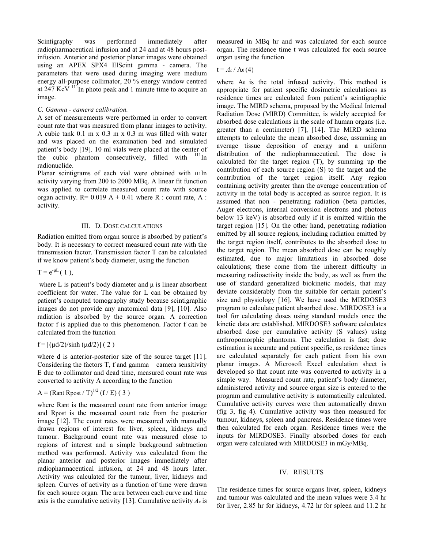Scintigraphy was performed immediately after radiopharmaceutical infusion and at 24 and at 48 hours postinfusion. Anterior and posterior planar images were obtained using an APEX SPX4 ElScint gamma - camera. The parameters that were used during imaging were medium energy all-purpose collimator, 20 % energy window centred at  $247 \text{ KeV}$  <sup>111</sup>In photo peak and 1 minute time to acquire an image.

#### *C. Gamma - camera calibration.*

A set of measurements were performed in order to convert count rate that was measured from planar images to activity. A cubic tank 0.1 m x 0.3 m x 0.3 m was filled with water and was placed on the examination bed and simulated patient's body [19]. 10 ml vials were placed at the center of the cubic phantom consecutively, filled with  $111$ In radionuclide.

Planar scintigrams of each vial were obtained with 111In activity varying from 200 to 2000 MBq. A linear fit function was applied to correlate measured count rate with source organ activity.  $R = 0.019 A + 0.41$  where R : count rate, A : activity.

#### III. D. DOSE CALCULATIONS

Radiation emitted from organ source is absorbed by patient's body. It is necessary to correct measured count rate with the transmission factor. Transmission factor T can be calculated if we know patient's body diameter, using the function

$$
T = e^{-\mu L} (1),
$$

where L is patient's body diameter and  $\mu$  is linear absorbent coefficient for water. The value for L can be obtained by patient's computed tomography study because scintigraphic images do not provide any anatomical data [9], [10]. Also radiation is absorbed by the source organ. A correction factor f is applied due to this phenomenon. Factor f can be calculated from the function

#### $f = [(\mu d/2)/\sinh (\mu d/2)] (2)$

where d is anterior-posterior size of the source target [11]. Considering the factors T, f and gamma – camera sensitivity E due to collimator and dead time, measured count rate was converted to activity A according to the function

Α = (Rant Rpost / T)1/2 (f / E) ( 3 )

where Rant is the measured count rate from anterior image and Rpost is the measured count rate from the posterior image [12]. The count rates were measured with manually drawn regions of interest for liver, spleen, kidneys and tumour. Background count rate was measured close to regions of interest and a simple background subtraction method was performed. Activity was calculated from the planar anterior and posterior images immediately after radiopharmaceutical infusion, at 24 and 48 hours later. Activity was calculated for the tumour, liver, kidneys and spleen. Curves of activity as a function of time were drawn for each source organ. The area between each curve and time axis is the cumulative activity [13]. Cumulative activity *Ac* is measured in MBq hr and was calculated for each source organ. The residence time t was calculated for each source organ using the function

 $t = A_c / A_0(4)$ 

where A<sub>0</sub> is the total infused activity. This method is appropriate for patient specific dosimetric calculations as residence times are calculated from patient's scintigraphic image. The MIRD schema, proposed by the Medical Internal Radiation Dose (MIRD) Committee, is widely accepted for absorbed dose calculations in the scale of human organs (i.e. greater than a centimeter) [7], [14]. The MIRD schema attempts to calculate the mean absorbed dose, assuming an average tissue deposition of energy and a uniform distribution of the radiopharmaceutical. The dose is calculated for the target region (T), by summing up the contribution of each source region (S) to the target and the contribution of the target region itself. Any region containing activity greater than the average concentration of activity in the total body is accepted as source region. It is assumed that non - penetrating radiation (beta particles, Auger electrons, internal conversion electrons and photons below 13 keV) is absorbed only if it is emitted within the target region [15]. On the other hand, penetrating radiation emitted by all source regions, including radiation emitted by the target region itself, contributes to the absorbed dose to the target region. The mean absorbed dose can be roughly estimated, due to major limitations in absorbed dose calculations; these come from the inherent difficulty in measuring radioactivity inside the body, as well as from the use of standard generalized biokinetic models, that may deviate considerably from the suitable for certain patient's size and physiology [16]. We have used the MIRDOSE3 program to calculate patient absorbed dose. MIRDOSE3 is a tool for calculating doses using standard models once the kinetic data are established. MIRDOSE3 software calculates absorbed dose per cumulative activity (S values) using anthropomorphic phantoms. The calculation is fast; dose estimation is accurate and patient specific, as residence times are calculated separately for each patient from his own planar images. A Microsoft Excel calculation sheet is developed so that count rate was converted to activity in a simple way. Measured count rate, patient's body diameter, administered activity and source organ size is entered to the program and cumulative activity is automatically calculated. Cumulative activity curves were then automatically drawn (fig 3, fig 4). Cumulative activity was then measured for tumour, kidneys, spleen and pancreas. Residence times were then calculated for each organ. Residence times were the inputs for MIRDOSE3. Finally absorbed doses for each organ were calculated with MIRDOSE3 in mGy/MBq.

#### IV. RESULTS

The residence times for source organs liver, spleen, kidneys and tumour was calculated and the mean values were 3.4 hr for liver, 2.85 hr for kidneys, 4.72 hr for spleen and 11.2 hr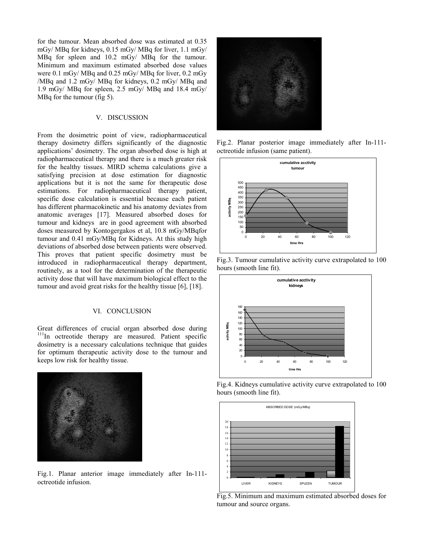for the tumour. Mean absorbed dose was estimated at 0.35 mGy/ MBq for kidneys, 0.15 mGy/ MBq for liver, 1.1 mGy/ MBq for spleen and 10.2 mGy/ MBq for the tumour. Minimum and maximum estimated absorbed dose values were 0.1 mGy/ MBq and 0.25 mGy/ MBq for liver, 0.2 mGy /MBq and 1.2 mGy/ MBq for kidneys, 0.2 mGy/ MBq and 1.9 mGy/ MBq for spleen, 2.5 mGy/ MBq and 18.4 mGy/ MBq for the tumour (fig 5).

#### V. DISCUSSION

From the dosimetric point of view, radiopharmaceutical therapy dosimetry differs significantly of the diagnostic applications' dosimetry. The organ absorbed dose is high at radiopharmaceutical therapy and there is a much greater risk for the healthy tissues. MIRD schema calculations give a satisfying precision at dose estimation for diagnostic applications but it is not the same for therapeutic dose estimations. For radiopharmaceutical therapy patient, specific dose calculation is essential because each patient has different pharmacokinetic and his anatomy deviates from anatomic averages [17]. Measured absorbed doses for tumour and kidneys are in good agreement with absorbed doses measured by Kontogergakos et al, 10.8 mGy/MBqfor tumour and 0.41 mGy/MBq for Kidneys. At this study high deviations of absorbed dose between patients were observed. This proves that patient specific dosimetry must be introduced in radiopharmaceutical therapy department, routinely, as a tool for the determination of the therapeutic activity dose that will have maximum biological effect to the tumour and avoid great risks for the healthy tissue [6], [18].

#### VI. CONCLUSION

Great differences of crucial organ absorbed dose during  $111$ In octreotide therapy are measured. Patient specific dosimetry is a necessary calculations technique that guides for optimum therapeutic activity dose to the tumour and keeps low risk for healthy tissue.



Fig.1. Planar anterior image immediately after In-111 octreotide infusion.



Fig.2. Planar posterior image immediately after In-111 octreotide infusion (same patient).







Fig.4. Kidneys cumulative activity curve extrapolated to 100 hours (smooth line fit).



Fig.5. Minimum and maximum estimated absorbed doses for tumour and source organs.